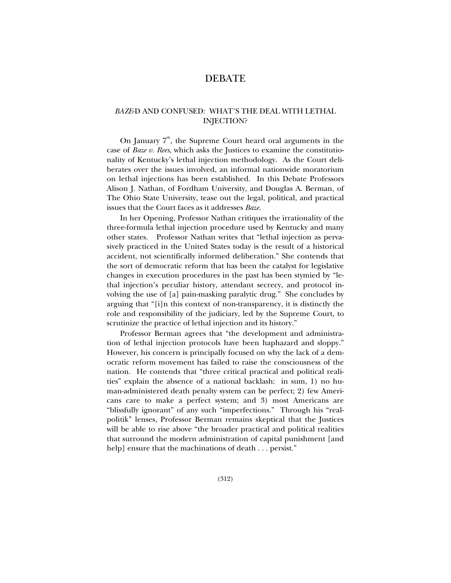# DEBATE

## *BAZE*-D AND CONFUSED: WHAT'S THE DEAL WITH LETHAL INJECTION?

On January  $7<sup>th</sup>$ , the Supreme Court heard oral arguments in the case of *Baze v. Rees*, which asks the Justices to examine the constitutionality of Kentucky's lethal injection methodology. As the Court deliberates over the issues involved, an informal nationwide moratorium on lethal injections has been established. In this Debate Professors Alison J. Nathan, of Fordham University, and Douglas A. Berman, of The Ohio State University, tease out the legal, political, and practical issues that the Court faces as it addresses *Baze*.

In her Opening, Professor Nathan critiques the irrationality of the three-formula lethal injection procedure used by Kentucky and many other states. Professor Nathan writes that "lethal injection as pervasively practiced in the United States today is the result of a historical accident, not scientifically informed deliberation." She contends that the sort of democratic reform that has been the catalyst for legislative changes in execution procedures in the past has been stymied by "lethal injection's peculiar history, attendant secrecy, and protocol involving the use of [a] pain-masking paralytic drug." She concludes by arguing that "[i]n this context of non-transparency, it is distinctly the role and responsibility of the judiciary, led by the Supreme Court, to scrutinize the practice of lethal injection and its history."

Professor Berman agrees that "the development and administration of lethal injection protocols have been haphazard and sloppy." However, his concern is principally focused on why the lack of a democratic reform movement has failed to raise the consciousness of the nation. He contends that "three critical practical and political realities" explain the absence of a national backlash: in sum, 1) no human-administered death penalty system can be perfect; 2) few Americans care to make a perfect system; and 3) most Americans are "blissfully ignorant" of any such "imperfections." Through his "realpolitik" lenses, Professor Berman remains skeptical that the Justices will be able to rise above "the broader practical and political realities that surround the modern administration of capital punishment [and help] ensure that the machinations of death . . . persist."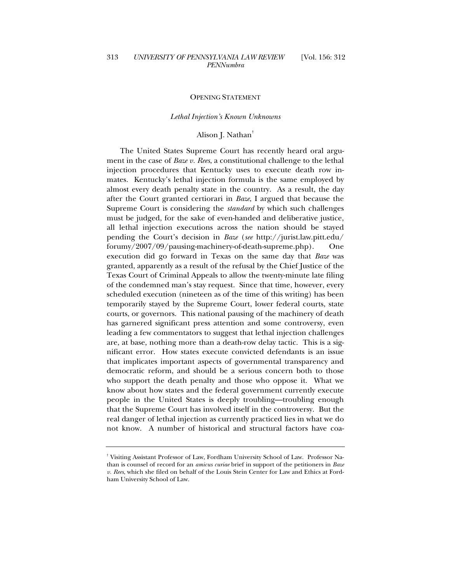## OPENING STATEMENT

#### *Lethal Injection's Known Unknowns*

#### Alison J. Nathan†

The United States Supreme Court has recently heard oral argument in the case of *Baze v. Rees*, a constitutional challenge to the lethal injection procedures that Kentucky uses to execute death row inmates. Kentucky's lethal injection formula is the same employed by almost every death penalty state in the country. As a result, the day after the Court granted certiorari in *Baze*, I argued that because the Supreme Court is considering the *standard* by which such challenges must be judged, for the sake of even-handed and deliberative justice, all lethal injection executions across the nation should be stayed pending the Court's decision in *Baze* (*see* http://jurist.law.pitt.edu/ forumy/2007/09/pausing-machinery-of-death-supreme.php). One execution did go forward in Texas on the same day that *Baze* was granted, apparently as a result of the refusal by the Chief Justice of the Texas Court of Criminal Appeals to allow the twenty-minute late filing of the condemned man's stay request. Since that time, however, every scheduled execution (nineteen as of the time of this writing) has been temporarily stayed by the Supreme Court, lower federal courts, state courts, or governors. This national pausing of the machinery of death has garnered significant press attention and some controversy, even leading a few commentators to suggest that lethal injection challenges are, at base, nothing more than a death-row delay tactic. This is a significant error. How states execute convicted defendants is an issue that implicates important aspects of governmental transparency and democratic reform, and should be a serious concern both to those who support the death penalty and those who oppose it. What we know about how states and the federal government currently execute people in the United States is deeply troubling—troubling enough that the Supreme Court has involved itself in the controversy. But the real danger of lethal injection as currently practiced lies in what we do not know. A number of historical and structural factors have coa-

<sup>†</sup> Visiting Assistant Professor of Law, Fordham University School of Law. Professor Nathan is counsel of record for an *amicus curiae* brief in support of the petitioners in *Baze v. Rees*, which she filed on behalf of the Louis Stein Center for Law and Ethics at Fordham University School of Law.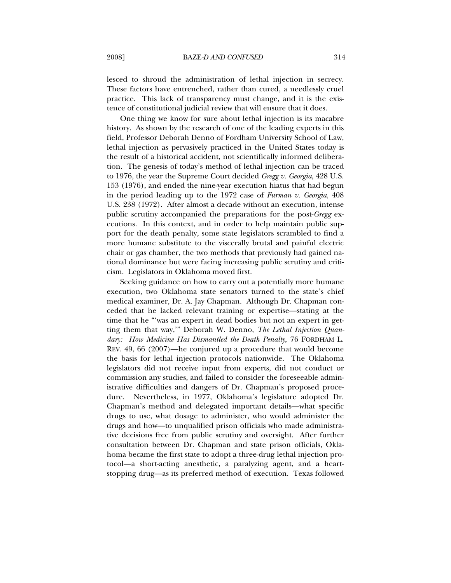lesced to shroud the administration of lethal injection in secrecy. These factors have entrenched, rather than cured, a needlessly cruel practice. This lack of transparency must change, and it is the existence of constitutional judicial review that will ensure that it does.

One thing we know for sure about lethal injection is its macabre history. As shown by the research of one of the leading experts in this field, Professor Deborah Denno of Fordham University School of Law, lethal injection as pervasively practiced in the United States today is the result of a historical accident, not scientifically informed deliberation. The genesis of today's method of lethal injection can be traced to 1976, the year the Supreme Court decided *Gregg v. Georgia*, 428 U.S. 153 (1976), and ended the nine-year execution hiatus that had begun in the period leading up to the 1972 case of *Furman v. Georgia*, 408 U.S. 238 (1972). After almost a decade without an execution, intense public scrutiny accompanied the preparations for the post-*Gregg* executions. In this context, and in order to help maintain public support for the death penalty, some state legislators scrambled to find a more humane substitute to the viscerally brutal and painful electric chair or gas chamber, the two methods that previously had gained national dominance but were facing increasing public scrutiny and criticism. Legislators in Oklahoma moved first.

Seeking guidance on how to carry out a potentially more humane execution, two Oklahoma state senators turned to the state's chief medical examiner, Dr. A. Jay Chapman. Although Dr. Chapman conceded that he lacked relevant training or expertise—stating at the time that he "'was an expert in dead bodies but not an expert in getting them that way,'" Deborah W. Denno, *The Lethal Injection Quandary: How Medicine Has Dismantled the Death Penalty*, 76 FORDHAM L. REV. 49, 66 (2007)—he conjured up a procedure that would become the basis for lethal injection protocols nationwide. The Oklahoma legislators did not receive input from experts, did not conduct or commission any studies, and failed to consider the foreseeable administrative difficulties and dangers of Dr. Chapman's proposed procedure. Nevertheless, in 1977, Oklahoma's legislature adopted Dr. Chapman's method and delegated important details—what specific drugs to use, what dosage to administer, who would administer the drugs and how—to unqualified prison officials who made administrative decisions free from public scrutiny and oversight. After further consultation between Dr. Chapman and state prison officials, Oklahoma became the first state to adopt a three-drug lethal injection protocol—a short-acting anesthetic, a paralyzing agent, and a heartstopping drug—as its preferred method of execution. Texas followed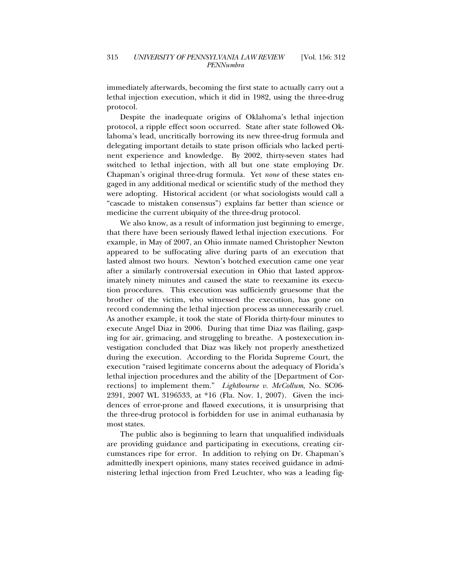immediately afterwards, becoming the first state to actually carry out a lethal injection execution, which it did in 1982, using the three-drug protocol.

Despite the inadequate origins of Oklahoma's lethal injection protocol, a ripple effect soon occurred. State after state followed Oklahoma's lead, uncritically borrowing its new three-drug formula and delegating important details to state prison officials who lacked pertinent experience and knowledge. By 2002, thirty-seven states had switched to lethal injection, with all but one state employing Dr. Chapman's original three-drug formula. Yet *none* of these states engaged in any additional medical or scientific study of the method they were adopting. Historical accident (or what sociologists would call a "cascade to mistaken consensus") explains far better than science or medicine the current ubiquity of the three-drug protocol.

We also know, as a result of information just beginning to emerge, that there have been seriously flawed lethal injection executions. For example, in May of 2007, an Ohio inmate named Christopher Newton appeared to be suffocating alive during parts of an execution that lasted almost two hours. Newton's botched execution came one year after a similarly controversial execution in Ohio that lasted approximately ninety minutes and caused the state to reexamine its execution procedures. This execution was sufficiently gruesome that the brother of the victim, who witnessed the execution, has gone on record condemning the lethal injection process as unnecessarily cruel. As another example, it took the state of Florida thirty-four minutes to execute Angel Diaz in 2006. During that time Diaz was flailing, gasping for air, grimacing, and struggling to breathe. A postexecution investigation concluded that Diaz was likely not properly anesthetized during the execution. According to the Florida Supreme Court, the execution "raised legitimate concerns about the adequacy of Florida's lethal injection procedures and the ability of the [Department of Corrections] to implement them." *Lightbourne v. McCollum*, No. SC06- 2391, 2007 WL 3196533, at \*16 (Fla. Nov. 1, 2007). Given the incidences of error-prone and flawed executions, it is unsurprising that the three-drug protocol is forbidden for use in animal euthanasia by most states.

The public also is beginning to learn that unqualified individuals are providing guidance and participating in executions, creating circumstances ripe for error. In addition to relying on Dr. Chapman's admittedly inexpert opinions, many states received guidance in administering lethal injection from Fred Leuchter, who was a leading fig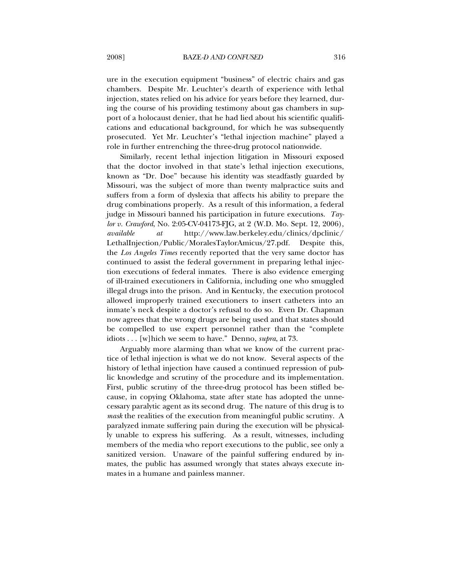ure in the execution equipment "business" of electric chairs and gas chambers. Despite Mr. Leuchter's dearth of experience with lethal injection, states relied on his advice for years before they learned, during the course of his providing testimony about gas chambers in support of a holocaust denier, that he had lied about his scientific qualifications and educational background, for which he was subsequently prosecuted. Yet Mr. Leuchter's "lethal injection machine" played a role in further entrenching the three-drug protocol nationwide.

Similarly, recent lethal injection litigation in Missouri exposed that the doctor involved in that state's lethal injection executions, known as "Dr. Doe" because his identity was steadfastly guarded by Missouri, was the subject of more than twenty malpractice suits and suffers from a form of dyslexia that affects his ability to prepare the drug combinations properly. As a result of this information, a federal judge in Missouri banned his participation in future executions. *Taylor v. Crawford*, No. 2:05-CV-04173-FJG, at 2 (W.D. Mo. Sept. 12, 2006), *available at* http://www.law.berkeley.edu/clinics/dpclinic/ LethalInjection/Public/MoralesTaylorAmicus/27.pdf. Despite this, the *Los Angeles Times* recently reported that the very same doctor has continued to assist the federal government in preparing lethal injection executions of federal inmates. There is also evidence emerging of ill-trained executioners in California, including one who smuggled illegal drugs into the prison. And in Kentucky, the execution protocol allowed improperly trained executioners to insert catheters into an inmate's neck despite a doctor's refusal to do so. Even Dr. Chapman now agrees that the wrong drugs are being used and that states should be compelled to use expert personnel rather than the "complete idiots . . . [w]hich we seem to have." Denno, *supra*, at 73.

Arguably more alarming than what we know of the current practice of lethal injection is what we do not know. Several aspects of the history of lethal injection have caused a continued repression of public knowledge and scrutiny of the procedure and its implementation. First, public scrutiny of the three-drug protocol has been stifled because, in copying Oklahoma, state after state has adopted the unnecessary paralytic agent as its second drug. The nature of this drug is to *mask* the realities of the execution from meaningful public scrutiny. A paralyzed inmate suffering pain during the execution will be physically unable to express his suffering. As a result, witnesses, including members of the media who report executions to the public, see only a sanitized version. Unaware of the painful suffering endured by inmates, the public has assumed wrongly that states always execute inmates in a humane and painless manner.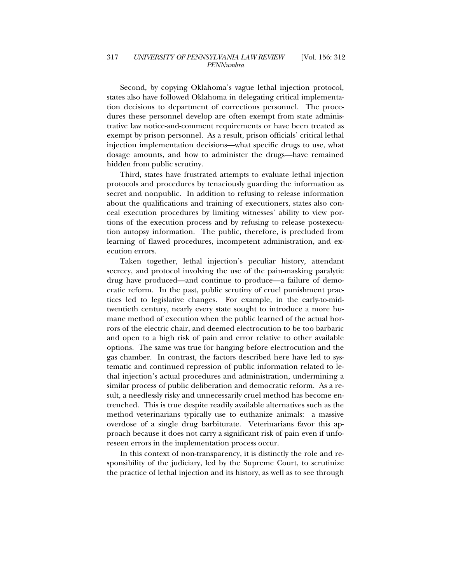Second, by copying Oklahoma's vague lethal injection protocol, states also have followed Oklahoma in delegating critical implementation decisions to department of corrections personnel. The procedures these personnel develop are often exempt from state administrative law notice-and-comment requirements or have been treated as exempt by prison personnel. As a result, prison officials' critical lethal injection implementation decisions—what specific drugs to use, what dosage amounts, and how to administer the drugs—have remained hidden from public scrutiny.

Third, states have frustrated attempts to evaluate lethal injection protocols and procedures by tenaciously guarding the information as secret and nonpublic. In addition to refusing to release information about the qualifications and training of executioners, states also conceal execution procedures by limiting witnesses' ability to view portions of the execution process and by refusing to release postexecution autopsy information. The public, therefore, is precluded from learning of flawed procedures, incompetent administration, and execution errors.

Taken together, lethal injection's peculiar history, attendant secrecy, and protocol involving the use of the pain-masking paralytic drug have produced—and continue to produce—a failure of democratic reform. In the past, public scrutiny of cruel punishment practices led to legislative changes. For example, in the early-to-midtwentieth century, nearly every state sought to introduce a more humane method of execution when the public learned of the actual horrors of the electric chair, and deemed electrocution to be too barbaric and open to a high risk of pain and error relative to other available options. The same was true for hanging before electrocution and the gas chamber. In contrast, the factors described here have led to systematic and continued repression of public information related to lethal injection's actual procedures and administration, undermining a similar process of public deliberation and democratic reform. As a result, a needlessly risky and unnecessarily cruel method has become entrenched. This is true despite readily available alternatives such as the method veterinarians typically use to euthanize animals: a massive overdose of a single drug barbiturate. Veterinarians favor this approach because it does not carry a significant risk of pain even if unforeseen errors in the implementation process occur.

In this context of non-transparency, it is distinctly the role and responsibility of the judiciary, led by the Supreme Court, to scrutinize the practice of lethal injection and its history, as well as to see through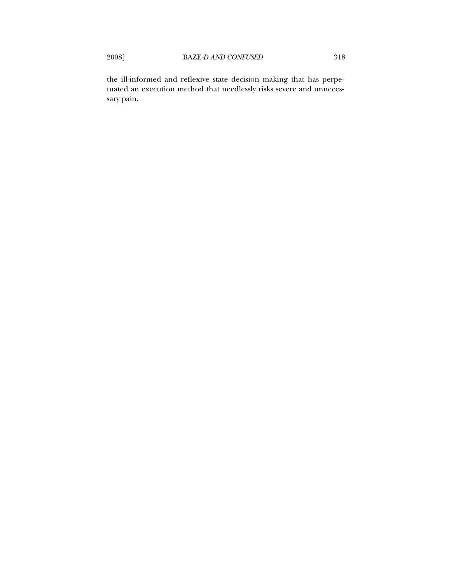the ill-informed and reflexive state decision making that has perpetuated an execution method that needlessly risks severe and unnecessary pain.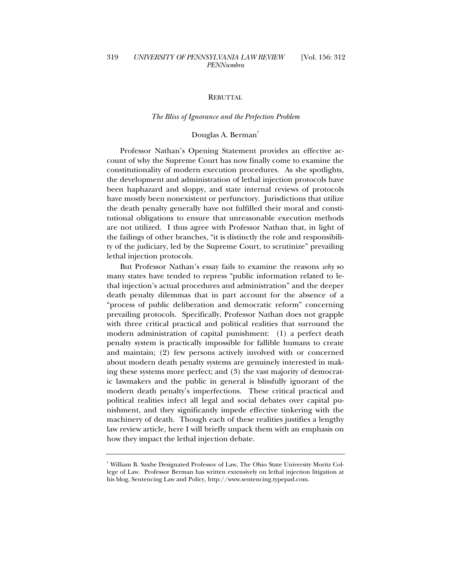## **REBUTTAL**

#### *The Bliss of Ignorance and the Perfection Problem*

## Douglas A. Berman†

Professor Nathan's Opening Statement provides an effective account of why the Supreme Court has now finally come to examine the constitutionality of modern execution procedures. As she spotlights, the development and administration of lethal injection protocols have been haphazard and sloppy, and state internal reviews of protocols have mostly been nonexistent or perfunctory. Jurisdictions that utilize the death penalty generally have not fulfilled their moral and constitutional obligations to ensure that unreasonable execution methods are not utilized. I thus agree with Professor Nathan that, in light of the failings of other branches, "it is distinctly the role and responsibility of the judiciary, led by the Supreme Court, to scrutinize" prevailing lethal injection protocols.

But Professor Nathan's essay fails to examine the reasons *why* so many states have tended to repress "public information related to lethal injection's actual procedures and administration" and the deeper death penalty dilemmas that in part account for the absence of a "process of public deliberation and democratic reform" concerning prevailing protocols. Specifically, Professor Nathan does not grapple with three critical practical and political realities that surround the modern administration of capital punishment: (1) a perfect death penalty system is practically impossible for fallible humans to create and maintain; (2) few persons actively involved with or concerned about modern death penalty systems are genuinely interested in making these systems more perfect; and (3) the vast majority of democratic lawmakers and the public in general is blissfully ignorant of the modern death penalty's imperfections. These critical practical and political realities infect all legal and social debates over capital punishment, and they significantly impede effective tinkering with the machinery of death. Though each of these realities justifies a lengthy law review article, here I will briefly unpack them with an emphasis on how they impact the lethal injection debate.

<sup>†</sup> William B. Saxbe Designated Professor of Law, The Ohio State University Moritz College of Law. Professor Berman has written extensively on lethal injection litigation at his blog, Sentencing Law and Policy, http://www.sentencing.typepad.com.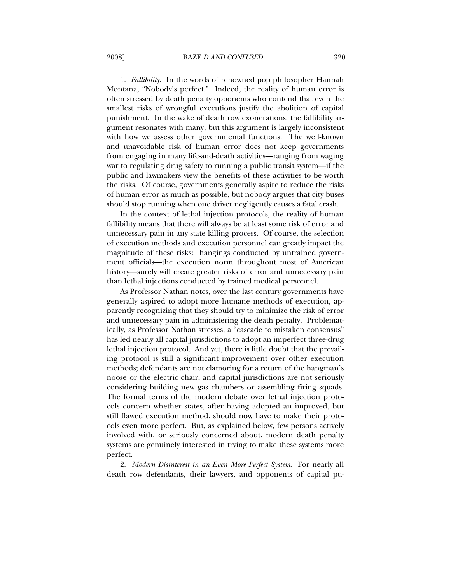1. *Fallibility*. In the words of renowned pop philosopher Hannah Montana, "Nobody's perfect." Indeed, the reality of human error is often stressed by death penalty opponents who contend that even the smallest risks of wrongful executions justify the abolition of capital punishment. In the wake of death row exonerations, the fallibility argument resonates with many, but this argument is largely inconsistent with how we assess other governmental functions. The well-known and unavoidable risk of human error does not keep governments from engaging in many life-and-death activities—ranging from waging war to regulating drug safety to running a public transit system—if the public and lawmakers view the benefits of these activities to be worth the risks. Of course, governments generally aspire to reduce the risks of human error as much as possible, but nobody argues that city buses should stop running when one driver negligently causes a fatal crash.

In the context of lethal injection protocols, the reality of human fallibility means that there will always be at least some risk of error and unnecessary pain in any state killing process. Of course, the selection of execution methods and execution personnel can greatly impact the magnitude of these risks: hangings conducted by untrained government officials—the execution norm throughout most of American history—surely will create greater risks of error and unnecessary pain than lethal injections conducted by trained medical personnel.

As Professor Nathan notes, over the last century governments have generally aspired to adopt more humane methods of execution, apparently recognizing that they should try to minimize the risk of error and unnecessary pain in administering the death penalty. Problematically, as Professor Nathan stresses, a "cascade to mistaken consensus" has led nearly all capital jurisdictions to adopt an imperfect three-drug lethal injection protocol. And yet, there is little doubt that the prevailing protocol is still a significant improvement over other execution methods; defendants are not clamoring for a return of the hangman's noose or the electric chair, and capital jurisdictions are not seriously considering building new gas chambers or assembling firing squads. The formal terms of the modern debate over lethal injection protocols concern whether states, after having adopted an improved, but still flawed execution method, should now have to make their protocols even more perfect. But, as explained below, few persons actively involved with, or seriously concerned about, modern death penalty systems are genuinely interested in trying to make these systems more perfect.

2. *Modern Disinterest in an Even More Perfect System*. For nearly all death row defendants, their lawyers, and opponents of capital pu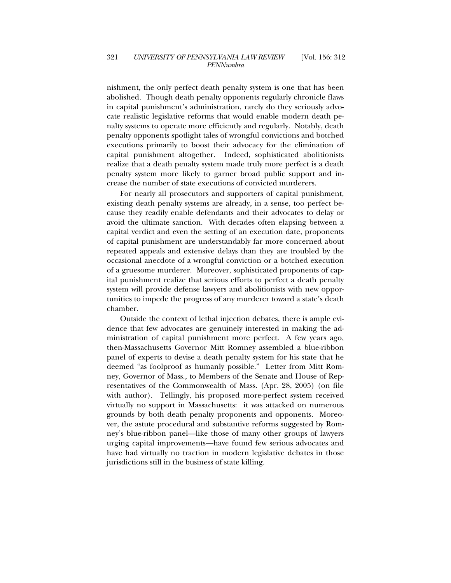nishment, the only perfect death penalty system is one that has been abolished. Though death penalty opponents regularly chronicle flaws in capital punishment's administration, rarely do they seriously advocate realistic legislative reforms that would enable modern death penalty systems to operate more efficiently and regularly. Notably, death penalty opponents spotlight tales of wrongful convictions and botched executions primarily to boost their advocacy for the elimination of capital punishment altogether. Indeed, sophisticated abolitionists realize that a death penalty system made truly more perfect is a death penalty system more likely to garner broad public support and increase the number of state executions of convicted murderers.

For nearly all prosecutors and supporters of capital punishment, existing death penalty systems are already, in a sense, too perfect because they readily enable defendants and their advocates to delay or avoid the ultimate sanction. With decades often elapsing between a capital verdict and even the setting of an execution date, proponents of capital punishment are understandably far more concerned about repeated appeals and extensive delays than they are troubled by the occasional anecdote of a wrongful conviction or a botched execution of a gruesome murderer. Moreover, sophisticated proponents of capital punishment realize that serious efforts to perfect a death penalty system will provide defense lawyers and abolitionists with new opportunities to impede the progress of any murderer toward a state's death chamber.

Outside the context of lethal injection debates, there is ample evidence that few advocates are genuinely interested in making the administration of capital punishment more perfect. A few years ago, then-Massachusetts Governor Mitt Romney assembled a blue-ribbon panel of experts to devise a death penalty system for his state that he deemed "as foolproof as humanly possible." Letter from Mitt Romney, Governor of Mass., to Members of the Senate and House of Representatives of the Commonwealth of Mass. (Apr. 28, 2005) (on file with author). Tellingly, his proposed more-perfect system received virtually no support in Massachusetts: it was attacked on numerous grounds by both death penalty proponents and opponents. Moreover, the astute procedural and substantive reforms suggested by Romney's blue-ribbon panel—like those of many other groups of lawyers urging capital improvements—have found few serious advocates and have had virtually no traction in modern legislative debates in those jurisdictions still in the business of state killing.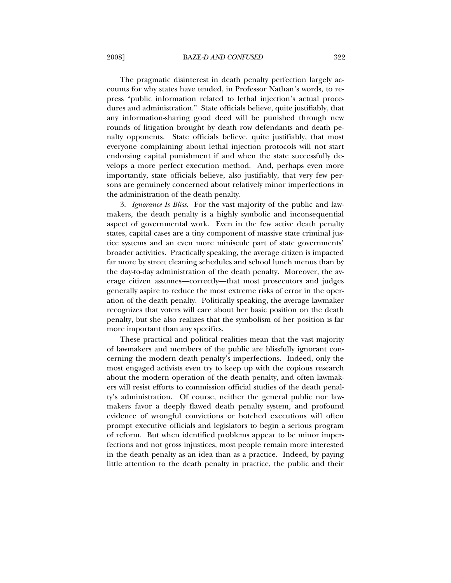The pragmatic disinterest in death penalty perfection largely accounts for why states have tended, in Professor Nathan's words, to repress "public information related to lethal injection's actual procedures and administration." State officials believe, quite justifiably, that any information-sharing good deed will be punished through new rounds of litigation brought by death row defendants and death penalty opponents. State officials believe, quite justifiably, that most everyone complaining about lethal injection protocols will not start endorsing capital punishment if and when the state successfully develops a more perfect execution method. And, perhaps even more importantly, state officials believe, also justifiably, that very few persons are genuinely concerned about relatively minor imperfections in the administration of the death penalty.

3. *Ignorance Is Bliss*. For the vast majority of the public and lawmakers, the death penalty is a highly symbolic and inconsequential aspect of governmental work. Even in the few active death penalty states, capital cases are a tiny component of massive state criminal justice systems and an even more miniscule part of state governments' broader activities. Practically speaking, the average citizen is impacted far more by street cleaning schedules and school lunch menus than by the day-to-day administration of the death penalty. Moreover, the average citizen assumes—correctly—that most prosecutors and judges generally aspire to reduce the most extreme risks of error in the operation of the death penalty. Politically speaking, the average lawmaker recognizes that voters will care about her basic position on the death penalty, but she also realizes that the symbolism of her position is far more important than any specifics.

These practical and political realities mean that the vast majority of lawmakers and members of the public are blissfully ignorant concerning the modern death penalty's imperfections. Indeed, only the most engaged activists even try to keep up with the copious research about the modern operation of the death penalty, and often lawmakers will resist efforts to commission official studies of the death penalty's administration. Of course, neither the general public nor lawmakers favor a deeply flawed death penalty system, and profound evidence of wrongful convictions or botched executions will often prompt executive officials and legislators to begin a serious program of reform. But when identified problems appear to be minor imperfections and not gross injustices, most people remain more interested in the death penalty as an idea than as a practice. Indeed, by paying little attention to the death penalty in practice, the public and their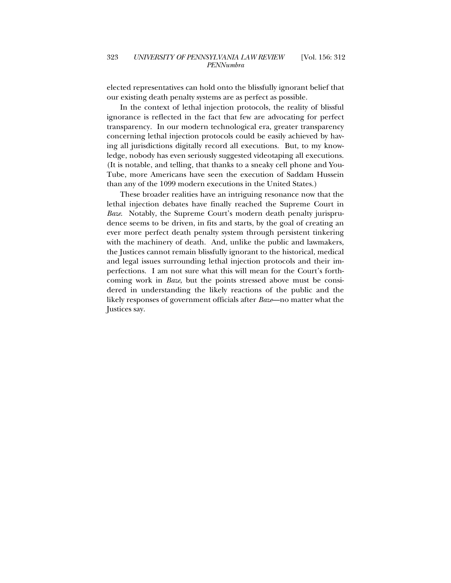elected representatives can hold onto the blissfully ignorant belief that our existing death penalty systems are as perfect as possible.

In the context of lethal injection protocols, the reality of blissful ignorance is reflected in the fact that few are advocating for perfect transparency. In our modern technological era, greater transparency concerning lethal injection protocols could be easily achieved by having all jurisdictions digitally record all executions. But, to my knowledge, nobody has even seriously suggested videotaping all executions. (It is notable, and telling, that thanks to a sneaky cell phone and You-Tube, more Americans have seen the execution of Saddam Hussein than any of the 1099 modern executions in the United States.)

These broader realities have an intriguing resonance now that the lethal injection debates have finally reached the Supreme Court in *Baze*. Notably, the Supreme Court's modern death penalty jurisprudence seems to be driven, in fits and starts, by the goal of creating an ever more perfect death penalty system through persistent tinkering with the machinery of death. And, unlike the public and lawmakers, the Justices cannot remain blissfully ignorant to the historical, medical and legal issues surrounding lethal injection protocols and their imperfections. I am not sure what this will mean for the Court's forthcoming work in *Baze*, but the points stressed above must be considered in understanding the likely reactions of the public and the likely responses of government officials after *Baze*—no matter what the Justices say.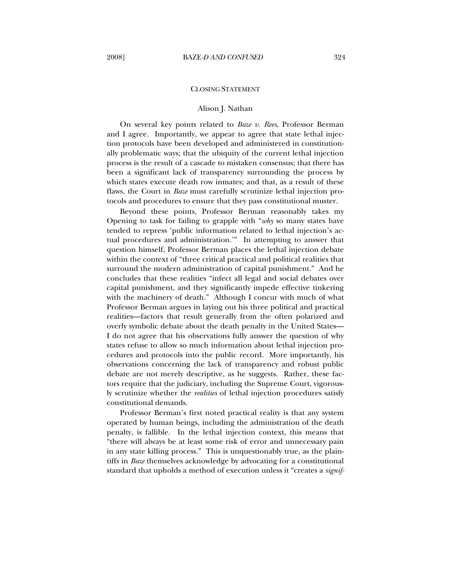## CLOSING STATEMENT

#### Alison J. Nathan

On several key points related to *Baze v. Rees*, Professor Berman and I agree. Importantly, we appear to agree that state lethal injection protocols have been developed and administered in constitutionally problematic ways; that the ubiquity of the current lethal injection process is the result of a cascade to mistaken consensus; that there has been a significant lack of transparency surrounding the process by which states execute death row inmates; and that, as a result of these flaws, the Court in *Baze* must carefully scrutinize lethal injection protocols and procedures to ensure that they pass constitutional muster.

Beyond these points, Professor Berman reasonably takes my Opening to task for failing to grapple with "*why* so many states have tended to repress 'public information related to lethal injection's actual procedures and administration.'" In attempting to answer that question himself, Professor Berman places the lethal injection debate within the context of "three critical practical and political realities that surround the modern administration of capital punishment." And he concludes that these realities "infect all legal and social debates over capital punishment, and they significantly impede effective tinkering with the machinery of death." Although I concur with much of what Professor Berman argues in laying out his three political and practical realities—factors that result generally from the often polarized and overly symbolic debate about the death penalty in the United States— I do not agree that his observations fully answer the question of why states refuse to allow so much information about lethal injection procedures and protocols into the public record. More importantly, his observations concerning the lack of transparency and robust public debate are not merely descriptive, as he suggests. Rather, these factors require that the judiciary, including the Supreme Court, vigorously scrutinize whether the *realities* of lethal injection procedures satisfy constitutional demands.

Professor Berman's first noted practical reality is that any system operated by human beings, including the administration of the death penalty, is fallible. In the lethal injection context, this means that "there will always be at least some risk of error and unnecessary pain in any state killing process." This is unquestionably true, as the plaintiffs in *Baze* themselves acknowledge by advocating for a constitutional standard that upholds a method of execution unless it "creates a *signif-*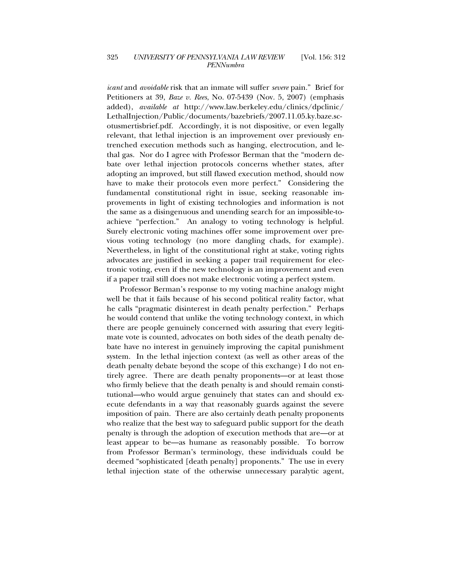*icant* and *avoidable* risk that an inmate will suffer *severe* pain." Brief for Petitioners at 39, *Baze v. Rees*, No. 07-5439 (Nov. 5, 2007) (emphasis added), *available at* http://www.law.berkeley.edu/clinics/dpclinic/ LethalInjection/Public/documents/bazebriefs/2007.11.05.ky.baze.scotusmertisbrief.pdf. Accordingly, it is not dispositive, or even legally relevant, that lethal injection is an improvement over previously entrenched execution methods such as hanging, electrocution, and lethal gas. Nor do I agree with Professor Berman that the "modern debate over lethal injection protocols concerns whether states, after adopting an improved, but still flawed execution method, should now have to make their protocols even more perfect." Considering the fundamental constitutional right in issue, seeking reasonable improvements in light of existing technologies and information is not the same as a disingenuous and unending search for an impossible-toachieve "perfection." An analogy to voting technology is helpful. Surely electronic voting machines offer some improvement over previous voting technology (no more dangling chads, for example). Nevertheless, in light of the constitutional right at stake, voting rights advocates are justified in seeking a paper trail requirement for electronic voting, even if the new technology is an improvement and even if a paper trail still does not make electronic voting a perfect system.

Professor Berman's response to my voting machine analogy might well be that it fails because of his second political reality factor, what he calls "pragmatic disinterest in death penalty perfection." Perhaps he would contend that unlike the voting technology context, in which there are people genuinely concerned with assuring that every legitimate vote is counted, advocates on both sides of the death penalty debate have no interest in genuinely improving the capital punishment system. In the lethal injection context (as well as other areas of the death penalty debate beyond the scope of this exchange) I do not entirely agree. There are death penalty proponents—or at least those who firmly believe that the death penalty is and should remain constitutional—who would argue genuinely that states can and should execute defendants in a way that reasonably guards against the severe imposition of pain. There are also certainly death penalty proponents who realize that the best way to safeguard public support for the death penalty is through the adoption of execution methods that are—or at least appear to be—as humane as reasonably possible. To borrow from Professor Berman's terminology, these individuals could be deemed "sophisticated [death penalty] proponents." The use in every lethal injection state of the otherwise unnecessary paralytic agent,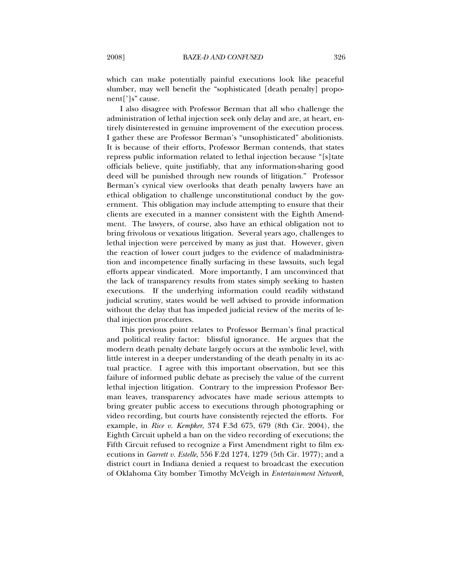which can make potentially painful executions look like peaceful slumber, may well benefit the "sophisticated [death penalty] proponent[']s" cause.

I also disagree with Professor Berman that all who challenge the administration of lethal injection seek only delay and are, at heart, entirely disinterested in genuine improvement of the execution process. I gather these are Professor Berman's "unsophisticated" abolitionists. It is because of their efforts, Professor Berman contends, that states repress public information related to lethal injection because "[s]tate officials believe, quite justifiably, that any information-sharing good deed will be punished through new rounds of litigation." Professor Berman's cynical view overlooks that death penalty lawyers have an ethical obligation to challenge unconstitutional conduct by the government. This obligation may include attempting to ensure that their clients are executed in a manner consistent with the Eighth Amendment. The lawyers, of course, also have an ethical obligation not to bring frivolous or vexatious litigation. Several years ago, challenges to lethal injection were perceived by many as just that. However, given the reaction of lower court judges to the evidence of maladministration and incompetence finally surfacing in these lawsuits, such legal efforts appear vindicated. More importantly, I am unconvinced that the lack of transparency results from states simply seeking to hasten executions. If the underlying information could readily withstand judicial scrutiny, states would be well advised to provide information without the delay that has impeded judicial review of the merits of lethal injection procedures.

This previous point relates to Professor Berman's final practical and political reality factor: blissful ignorance. He argues that the modern death penalty debate largely occurs at the symbolic level, with little interest in a deeper understanding of the death penalty in its actual practice. I agree with this important observation, but see this failure of informed public debate as precisely the value of the current lethal injection litigation. Contrary to the impression Professor Berman leaves, transparency advocates have made serious attempts to bring greater public access to executions through photographing or video recording, but courts have consistently rejected the efforts. For example, in *Rice v. Kempker*, 374 F.3d 675, 679 (8th Cir. 2004), the Eighth Circuit upheld a ban on the video recording of executions; the Fifth Circuit refused to recognize a First Amendment right to film executions in *Garrett v. Estelle*, 556 F.2d 1274, 1279 (5th Cir. 1977); and a district court in Indiana denied a request to broadcast the execution of Oklahoma City bomber Timothy McVeigh in *Entertainment Network,*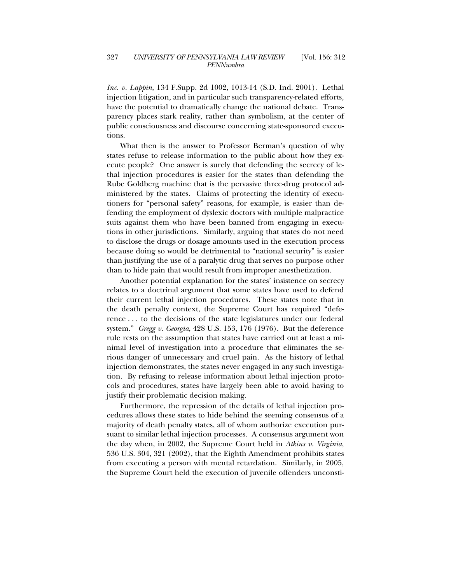*Inc. v. Lappin*, 134 F.Supp. 2d 1002, 1013-14 (S.D. Ind. 2001). Lethal injection litigation, and in particular such transparency-related efforts, have the potential to dramatically change the national debate. Transparency places stark reality, rather than symbolism, at the center of public consciousness and discourse concerning state-sponsored executions.

What then is the answer to Professor Berman's question of why states refuse to release information to the public about how they execute people? One answer is surely that defending the secrecy of lethal injection procedures is easier for the states than defending the Rube Goldberg machine that is the pervasive three-drug protocol administered by the states. Claims of protecting the identity of executioners for "personal safety" reasons, for example, is easier than defending the employment of dyslexic doctors with multiple malpractice suits against them who have been banned from engaging in executions in other jurisdictions. Similarly, arguing that states do not need to disclose the drugs or dosage amounts used in the execution process because doing so would be detrimental to "national security" is easier than justifying the use of a paralytic drug that serves no purpose other than to hide pain that would result from improper anesthetization.

Another potential explanation for the states' insistence on secrecy relates to a doctrinal argument that some states have used to defend their current lethal injection procedures. These states note that in the death penalty context, the Supreme Court has required "deference . . . to the decisions of the state legislatures under our federal system." *Gregg v. Georgia*, 428 U.S. 153, 176 (1976). But the deference rule rests on the assumption that states have carried out at least a minimal level of investigation into a procedure that eliminates the serious danger of unnecessary and cruel pain. As the history of lethal injection demonstrates, the states never engaged in any such investigation. By refusing to release information about lethal injection protocols and procedures, states have largely been able to avoid having to justify their problematic decision making.

Furthermore, the repression of the details of lethal injection procedures allows these states to hide behind the seeming consensus of a majority of death penalty states, all of whom authorize execution pursuant to similar lethal injection processes. A consensus argument won the day when, in 2002, the Supreme Court held in *Atkins v. Virginia*, 536 U.S. 304, 321 (2002), that the Eighth Amendment prohibits states from executing a person with mental retardation. Similarly, in 2005, the Supreme Court held the execution of juvenile offenders unconsti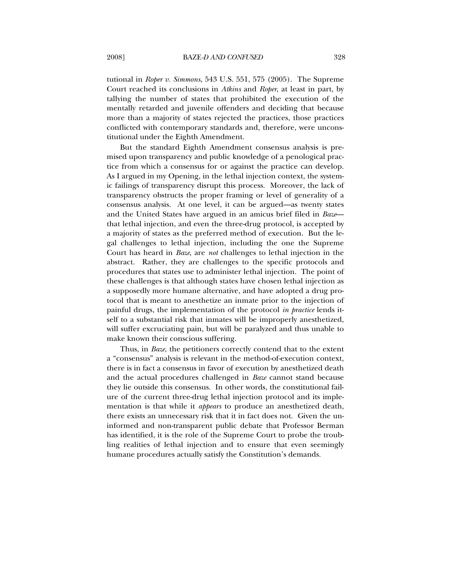tutional in *Roper v. Simmons*, 543 U.S. 551, 575 (2005). The Supreme Court reached its conclusions in *Atkins* and *Roper*, at least in part, by tallying the number of states that prohibited the execution of the mentally retarded and juvenile offenders and deciding that because more than a majority of states rejected the practices, those practices conflicted with contemporary standards and, therefore, were unconstitutional under the Eighth Amendment.

But the standard Eighth Amendment consensus analysis is premised upon transparency and public knowledge of a penological practice from which a consensus for or against the practice can develop. As I argued in my Opening, in the lethal injection context, the systemic failings of transparency disrupt this process. Moreover, the lack of transparency obstructs the proper framing or level of generality of a consensus analysis. At one level, it can be argued—as twenty states and the United States have argued in an amicus brief filed in *Baze* that lethal injection, and even the three-drug protocol, is accepted by a majority of states as the preferred method of execution. But the legal challenges to lethal injection, including the one the Supreme Court has heard in *Baze*, are *not* challenges to lethal injection in the abstract. Rather, they are challenges to the specific protocols and procedures that states use to administer lethal injection. The point of these challenges is that although states have chosen lethal injection as a supposedly more humane alternative, and have adopted a drug protocol that is meant to anesthetize an inmate prior to the injection of painful drugs, the implementation of the protocol *in practice* lends itself to a substantial risk that inmates will be improperly anesthetized, will suffer excruciating pain, but will be paralyzed and thus unable to make known their conscious suffering.

Thus, in *Baze*, the petitioners correctly contend that to the extent a "consensus" analysis is relevant in the method-of-execution context, there is in fact a consensus in favor of execution by anesthetized death and the actual procedures challenged in *Baze* cannot stand because they lie outside this consensus. In other words, the constitutional failure of the current three-drug lethal injection protocol and its implementation is that while it *appears* to produce an anesthetized death, there exists an unnecessary risk that it in fact does not. Given the uninformed and non-transparent public debate that Professor Berman has identified, it is the role of the Supreme Court to probe the troubling realities of lethal injection and to ensure that even seemingly humane procedures actually satisfy the Constitution's demands.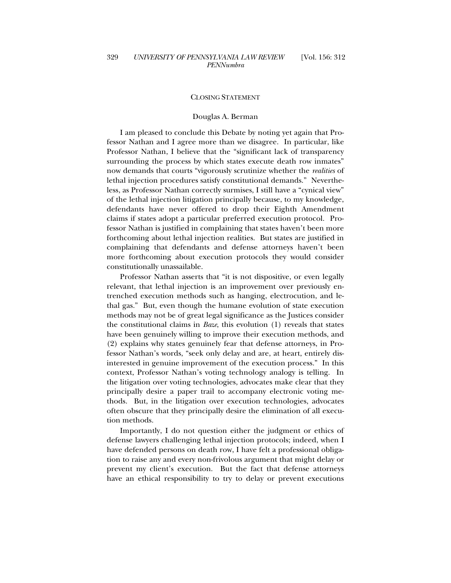## CLOSING STATEMENT

#### Douglas A. Berman

I am pleased to conclude this Debate by noting yet again that Professor Nathan and I agree more than we disagree. In particular, like Professor Nathan, I believe that the "significant lack of transparency surrounding the process by which states execute death row inmates" now demands that courts "vigorously scrutinize whether the *realities* of lethal injection procedures satisfy constitutional demands." Nevertheless, as Professor Nathan correctly surmises, I still have a "cynical view" of the lethal injection litigation principally because, to my knowledge, defendants have never offered to drop their Eighth Amendment claims if states adopt a particular preferred execution protocol. Professor Nathan is justified in complaining that states haven't been more forthcoming about lethal injection realities. But states are justified in complaining that defendants and defense attorneys haven't been more forthcoming about execution protocols they would consider constitutionally unassailable.

Professor Nathan asserts that "it is not dispositive, or even legally relevant, that lethal injection is an improvement over previously entrenched execution methods such as hanging, electrocution, and lethal gas." But, even though the humane evolution of state execution methods may not be of great legal significance as the Justices consider the constitutional claims in *Baze*, this evolution (1) reveals that states have been genuinely willing to improve their execution methods, and (2) explains why states genuinely fear that defense attorneys, in Professor Nathan's words, "seek only delay and are, at heart, entirely disinterested in genuine improvement of the execution process." In this context, Professor Nathan's voting technology analogy is telling. In the litigation over voting technologies, advocates make clear that they principally desire a paper trail to accompany electronic voting methods. But, in the litigation over execution technologies, advocates often obscure that they principally desire the elimination of all execution methods.

Importantly, I do not question either the judgment or ethics of defense lawyers challenging lethal injection protocols; indeed, when I have defended persons on death row, I have felt a professional obligation to raise any and every non-frivolous argument that might delay or prevent my client's execution. But the fact that defense attorneys have an ethical responsibility to try to delay or prevent executions